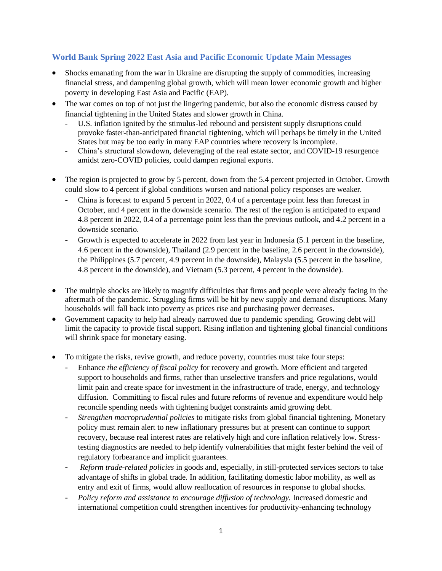## **World Bank Spring 2022 East Asia and Pacific Economic Update Main Messages**

- Shocks emanating from the war in Ukraine are disrupting the supply of commodities, increasing financial stress, and dampening global growth, which will mean lower economic growth and higher poverty in developing East Asia and Pacific (EAP).
- The war comes on top of not just the lingering pandemic, but also the economic distress caused by financial tightening in the United States and slower growth in China.
	- U.S. inflation ignited by the stimulus-led rebound and persistent supply disruptions could provoke faster-than-anticipated financial tightening, which will perhaps be timely in the United States but may be too early in many EAP countries where recovery is incomplete.
	- China's structural slowdown*,* deleveraging of the real estate sector, and COVID-19 resurgence amidst zero-COVID policies, could dampen regional exports.
- The region is projected to grow by 5 percent, down from the 5.4 percent projected in October. Growth could slow to 4 percent if global conditions worsen and national policy responses are weaker.
	- China is forecast to expand 5 percent in 2022, 0.4 of a percentage point less than forecast in October, and 4 percent in the downside scenario. The rest of the region is anticipated to expand 4.8 percent in 2022, 0.4 of a percentage point less than the previous outlook, and 4.2 percent in a downside scenario.
	- Growth is expected to accelerate in 2022 from last year in Indonesia (5.1 percent in the baseline, 4.6 percent in the downside), Thailand (2.9 percent in the baseline, 2.6 percent in the downside), the Philippines (5.7 percent, 4.9 percent in the downside), Malaysia (5.5 percent in the baseline, 4.8 percent in the downside), and Vietnam (5.3 percent, 4 percent in the downside).
- The multiple shocks are likely to magnify difficulties that firms and people were already facing in the aftermath of the pandemic. Struggling firms will be hit by new supply and demand disruptions. Many households will fall back into poverty as prices rise and purchasing power decreases.
- Government capacity to help had already narrowed due to pandemic spending. Growing debt will limit the capacity to provide fiscal support. Rising inflation and tightening global financial conditions will shrink space for monetary easing.
- To mitigate the risks, revive growth, and reduce poverty, countries must take four steps:
	- Enhance *the efficiency of fiscal policy* for recovery and growth. More efficient and targeted support to households and firms, rather than unselective transfers and price regulations, would limit pain and create space for investment in the infrastructure of trade, energy, and technology diffusion. Committing to fiscal rules and future reforms of revenue and expenditure would help reconcile spending needs with tightening budget constraints amid growing debt.
	- *Strengthen macroprudential policies* to mitigate risks from global financial tightening. Monetary policy must remain alert to new inflationary pressures but at present can continue to support recovery, because real interest rates are relatively high and core inflation relatively low. Stresstesting diagnostics are needed to help identify vulnerabilities that might fester behind the veil of regulatory forbearance and implicit guarantees.
	- *Reform trade-related policies* in goods and, especially, in still-protected services sectors to take advantage of shifts in global trade. In addition, facilitating domestic labor mobility, as well as entry and exit of firms, would allow reallocation of resources in response to global shocks.
	- *Policy reform and assistance to encourage diffusion of technology.* Increased domestic and international competition could strengthen incentives for productivity-enhancing technology